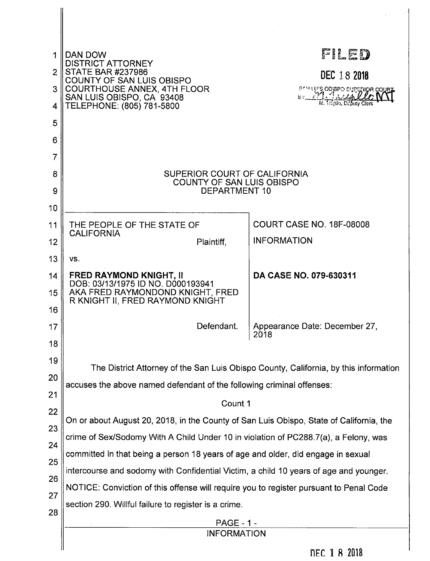| 4                                                        | DAN DOW<br><b>DISTRICT ATTORNEY</b><br><b>STATE BAR #237986</b><br>COUNTY OF SAN LUIS OBISPO<br><b>COURTHOUSE ANNEX, 4TH FLOOR</b><br>SAN LUIS OBISPO, CA 93408<br>TELEPHONE: (805) 781-5800                                                                                                                                                                                                                                                                                                                                                                                                                                                                                                                                         | FILED<br>DEC 18 2018<br>SAM LUIS ODISPO SUPERIOR COUPE |  |  |  |  |
|----------------------------------------------------------|--------------------------------------------------------------------------------------------------------------------------------------------------------------------------------------------------------------------------------------------------------------------------------------------------------------------------------------------------------------------------------------------------------------------------------------------------------------------------------------------------------------------------------------------------------------------------------------------------------------------------------------------------------------------------------------------------------------------------------------|--------------------------------------------------------|--|--|--|--|
| 5<br>6<br>7                                              |                                                                                                                                                                                                                                                                                                                                                                                                                                                                                                                                                                                                                                                                                                                                      |                                                        |  |  |  |  |
| 8<br>9<br>10                                             | SUPERIOR COURT OF CALIFORNIA<br><b>COUNTY OF SAN LUIS OBISPO</b><br><b>DEPARTMENT 10</b>                                                                                                                                                                                                                                                                                                                                                                                                                                                                                                                                                                                                                                             |                                                        |  |  |  |  |
| 11<br>12                                                 | THE PEOPLE OF THE STATE OF<br><b>CALIFORNIA</b><br>Plaintiff,                                                                                                                                                                                                                                                                                                                                                                                                                                                                                                                                                                                                                                                                        | <b>COURT CASE NO. 18F-08008</b><br><b>INFORMATION</b>  |  |  |  |  |
| 13<br>14<br>15<br>16                                     | VS.<br><b>FRED RAYMOND KNIGHT, II</b><br>DOB: 03/13/1975 ID NO. D000193941<br>AKA FRED RAYMONDOND KNIGHT, FRED<br>R KNIGHT II, FRED RAYMOND KNIGHT                                                                                                                                                                                                                                                                                                                                                                                                                                                                                                                                                                                   | DA CASE NO. 079-630311                                 |  |  |  |  |
| 17<br>18                                                 | Defendant.                                                                                                                                                                                                                                                                                                                                                                                                                                                                                                                                                                                                                                                                                                                           | Appearance Date: December 27,<br>2018                  |  |  |  |  |
| 19<br>20<br>21<br>22<br>23<br>24<br>25<br>26<br>27<br>28 | The District Attorney of the San Luis Obispo County, California, by this information<br>accuses the above named defendant of the following criminal offenses:<br>Count 1<br>On or about August 20, 2018, in the County of San Luis Obispo, State of California, the<br>crime of Sex/Sodomy With A Child Under 10 in violation of PC288.7(a), a Felony, was<br>committed in that being a person 18 years of age and older, did engage in sexual<br>intercourse and sodomy with Confidential Victim, a child 10 years of age and younger.<br>NOTICE: Conviction of this offense will require you to register pursuant to Penal Code<br>section 290. Willful failure to register is a crime.<br><b>PAGE - 1 -</b><br><b>INFORMATION</b> |                                                        |  |  |  |  |
|                                                          | ግሥይ 1 8 ባበ10                                                                                                                                                                                                                                                                                                                                                                                                                                                                                                                                                                                                                                                                                                                         |                                                        |  |  |  |  |

 $\hat{\boldsymbol{\gamma}}$ 

**NEC 1 8 2018**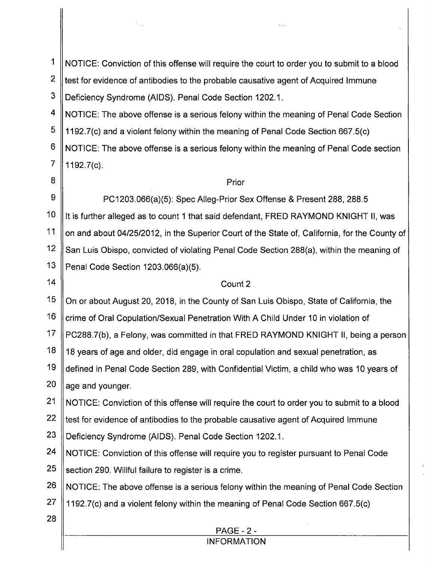| 1              |                                                                                               |  |  |  |  |  |  |
|----------------|-----------------------------------------------------------------------------------------------|--|--|--|--|--|--|
| $\overline{2}$ | NOTICE: Conviction of this offense will require the court to order you to submit to a blood   |  |  |  |  |  |  |
| 3              | test for evidence of antibodies to the probable causative agent of Acquired Immune            |  |  |  |  |  |  |
|                | Deficiency Syndrome (AIDS). Penal Code Section 1202.1.                                        |  |  |  |  |  |  |
| 4              | NOTICE: The above offense is a serious felony within the meaning of Penal Code Section        |  |  |  |  |  |  |
| 5              | 1192.7(c) and a violent felony within the meaning of Penal Code Section 667.5(c)              |  |  |  |  |  |  |
| 6              | NOTICE: The above offense is a serious felony within the meaning of Penal Code section        |  |  |  |  |  |  |
| 7              | $1192.7(c)$ .                                                                                 |  |  |  |  |  |  |
| 8              | Prior                                                                                         |  |  |  |  |  |  |
| 9              | PC1203.066(a)(5): Spec Alleg-Prior Sex Offense & Present 288, 288.5                           |  |  |  |  |  |  |
| 10             | It is further alleged as to count 1 that said defendant, FRED RAYMOND KNIGHT II, was          |  |  |  |  |  |  |
| 11             | on and about 04/25/2012, in the Superior Court of the State of, California, for the County of |  |  |  |  |  |  |
| 12             | San Luis Obispo, convicted of violating Penal Code Section 288(a), within the meaning of      |  |  |  |  |  |  |
| 13             | Penal Code Section 1203.066(a)(5).                                                            |  |  |  |  |  |  |
| 14             | Count 2                                                                                       |  |  |  |  |  |  |
| 15             | On or about August 20, 2018, in the County of San Luis Obispo, State of California, the       |  |  |  |  |  |  |
| 16             | crime of Oral Copulation/Sexual Penetration With A Child Under 10 in violation of             |  |  |  |  |  |  |
| 17             | PC288.7(b), a Felony, was committed in that FRED RAYMOND KNIGHT II, being a person            |  |  |  |  |  |  |
| 18             | 18 years of age and older, did engage in oral copulation and sexual penetration, as           |  |  |  |  |  |  |
| 19             | defined in Penal Code Section 289, with Confidential Victim, a child who was 10 years of      |  |  |  |  |  |  |
| 20             | age and younger.                                                                              |  |  |  |  |  |  |
| 21             | NOTICE: Conviction of this offense will require the court to order you to submit to a blood   |  |  |  |  |  |  |
| 22             | test for evidence of antibodies to the probable causative agent of Acquired Immune            |  |  |  |  |  |  |
| 23             | Deficiency Syndrome (AIDS). Penal Code Section 1202.1.                                        |  |  |  |  |  |  |
| 24             | NOTICE: Conviction of this offense will require you to register pursuant to Penal Code        |  |  |  |  |  |  |
| 25             | section 290. Willful failure to register is a crime.                                          |  |  |  |  |  |  |
| 26             | NOTICE: The above offense is a serious felony within the meaning of Penal Code Section        |  |  |  |  |  |  |
| 27             | 1192.7(c) and a violent felony within the meaning of Penal Code Section 667.5(c)              |  |  |  |  |  |  |
| 28             |                                                                                               |  |  |  |  |  |  |
|                | <b>PAGE - 2 -</b>                                                                             |  |  |  |  |  |  |
|                | <b>INFORMATION</b>                                                                            |  |  |  |  |  |  |

 $\ddot{\mathrm{r}}$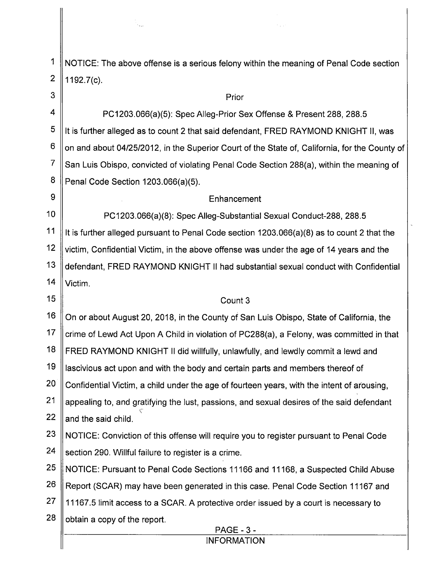1 NOTICE: The above offense is a serious felony within the meaning of Penal Code section  $\overline{2}$ 1192.7(0).

3 Prior 4 PC1203.066(a)(5): Spec Alleg-Prior Sex Offense & Present 288, 288.5 5 It is further alleged as to count 2 that said defendant, FRED RAYMOND KNIGHT II, was 6 on and about 04/25/2012, in the Superior Court of the State of, California, for the County of  $\overline{7}$ San Luis Obispo, convicted of violating Penal Code Section 288(a), within the meaning of 8 Penal Code Section 1203.066(a)(5). 9 Enhancement  $10<sup>°</sup>$ PC1203.066(a)(8): Spec Alleg—Substantial Sexual Conduct-288, 288.5  $11$ It is further alleged pursuant to Penal Code section  $1203.066(a)(8)$  as to count 2 that the  $12$ victim, Confidential Victim, in the above offense was under the age of 14 years and the  $13$ defendant, FRED RAYMOND KNIGHT || had substantial sexual conduct with Confidential  $14$ Victim. 15 Count 3 16 On or about August 20, 2018, in the County of San Luis Obispo, State of California, the  $17$ crime of Lewd Act Upon A Child in violation of PC288(a), a Felony, was committed in that 18 FRED RAYMOND KNIGHT II did willfully, unlawfully, and lewdly commit a lewd and 19 Iascivious act upon and with the body and certain parts and members thereof of  $20$ Confidential Victim, a child under the age of fourteen years, with the intent of arousing,  $21$ appealing to, and gratifying the lust, passions, and sexual desires of the said defendant 22 and the said child. 23 NOTICE: Conviction of this offense will require you to register pursuant to Penal Code 24 section 290. Willful failure to register is a crime. 25 NOTICE: Pursuant to Penal Code Sections 11166 and 11168, a Suspected Child Abuse 26 Report (SCAR) may have been generated in this case. Penal Code Section 11167 and 27 11167.5 limit access to a SCAR. A protective order issued by a court is necessary to 28 obtain a copy of the report. PAGE INFORMATION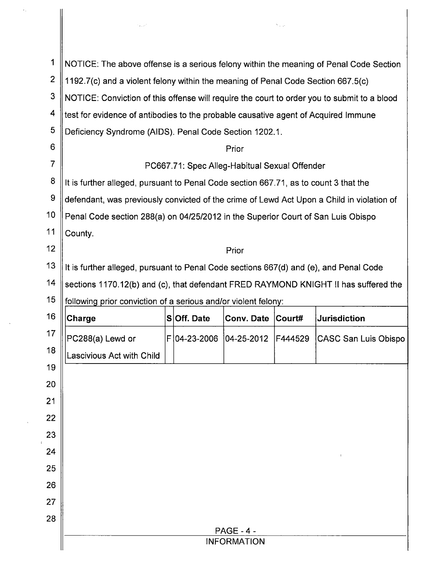|                |                                                                                             |  |              |                    | Na p           |                             |  |  |  |
|----------------|---------------------------------------------------------------------------------------------|--|--------------|--------------------|----------------|-----------------------------|--|--|--|
|                |                                                                                             |  |              |                    |                |                             |  |  |  |
| 1              | NOTICE: The above offense is a serious felony within the meaning of Penal Code Section      |  |              |                    |                |                             |  |  |  |
| $\overline{2}$ | 1192.7(c) and a violent felony within the meaning of Penal Code Section 667.5(c)            |  |              |                    |                |                             |  |  |  |
| 3              | NOTICE: Conviction of this offense will require the court to order you to submit to a blood |  |              |                    |                |                             |  |  |  |
| 4              | test for evidence of antibodies to the probable causative agent of Acquired Immune          |  |              |                    |                |                             |  |  |  |
| 5              | Deficiency Syndrome (AIDS). Penal Code Section 1202.1.                                      |  |              |                    |                |                             |  |  |  |
| 6              | Prior                                                                                       |  |              |                    |                |                             |  |  |  |
| $\overline{7}$ | PC667.71: Spec Alleg-Habitual Sexual Offender                                               |  |              |                    |                |                             |  |  |  |
| 8              | It is further alleged, pursuant to Penal Code section 667.71, as to count 3 that the        |  |              |                    |                |                             |  |  |  |
| $\pmb{9}$      | defendant, was previously convicted of the crime of Lewd Act Upon a Child in violation of   |  |              |                    |                |                             |  |  |  |
| 10             | Penal Code section 288(a) on 04/25/2012 in the Superior Court of San Luis Obispo            |  |              |                    |                |                             |  |  |  |
|                | County.                                                                                     |  |              |                    |                |                             |  |  |  |
| 11             |                                                                                             |  |              |                    | 12<br>Prior    |                             |  |  |  |
|                |                                                                                             |  |              |                    |                |                             |  |  |  |
| 13             | It is further alleged, pursuant to Penal Code sections 667(d) and (e), and Penal Code       |  |              |                    |                |                             |  |  |  |
| 14             | sections 1170.12(b) and (c), that defendant FRED RAYMOND KNIGHT II has suffered the         |  |              |                    |                |                             |  |  |  |
| 15             | following prior conviction of a serious and/or violent felony:                              |  |              |                    |                |                             |  |  |  |
| 16             | Charge                                                                                      |  | SOff. Date   | <b>Conv. Date</b>  | $\vert$ Court# | <b>Jurisdiction</b>         |  |  |  |
| 17             | PC288(a) Lewd or                                                                            |  | F 04-23-2006 | $ 04 - 25 - 2012 $ | F444529        | <b>CASC San Luis Obispo</b> |  |  |  |
| 18             | Lascivious Act with Child                                                                   |  |              |                    |                |                             |  |  |  |
| 19             |                                                                                             |  |              |                    |                |                             |  |  |  |
| 20             |                                                                                             |  |              |                    |                |                             |  |  |  |
| 21             |                                                                                             |  |              |                    |                |                             |  |  |  |
| 22             |                                                                                             |  |              |                    |                |                             |  |  |  |
| 23             |                                                                                             |  |              |                    |                |                             |  |  |  |
| 24             |                                                                                             |  |              |                    |                |                             |  |  |  |
| 25             |                                                                                             |  |              |                    |                |                             |  |  |  |
| 26             |                                                                                             |  |              |                    |                |                             |  |  |  |
| 27             |                                                                                             |  |              |                    |                |                             |  |  |  |
| 28             |                                                                                             |  |              | <b>PAGE - 4 -</b>  |                |                             |  |  |  |

 $\hat{\epsilon}_1$ 

 $\sim 30$  km s  $^{-1}$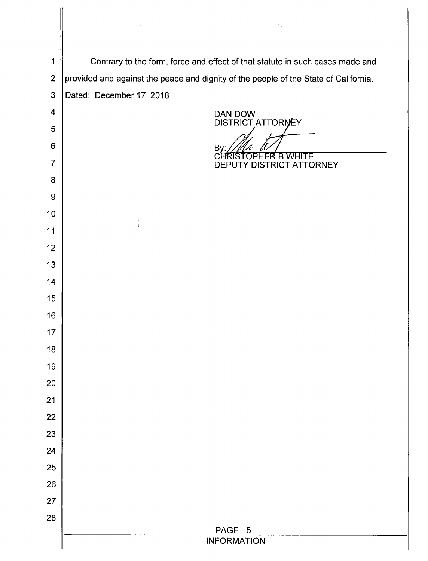|                         | $\sim 10^6$<br>Nation.                                                               |  |  |  |  |  |
|-------------------------|--------------------------------------------------------------------------------------|--|--|--|--|--|
|                         |                                                                                      |  |  |  |  |  |
| 1                       | Contrary to the form, force and effect of that statute in such cases made and        |  |  |  |  |  |
| $\mathbf{2}$            | provided and against the peace and dignity of the people of the State of California. |  |  |  |  |  |
| 3                       | Dated: December 17, 2018                                                             |  |  |  |  |  |
| $\overline{\mathbf{4}}$ | DAN DOW                                                                              |  |  |  |  |  |
| 5                       | DISTRICT ATTORNEY                                                                    |  |  |  |  |  |
| $\,6$                   | <b>Bγ</b>                                                                            |  |  |  |  |  |
| $\overline{7}$          | CHRISTOPHER B WHITE<br>DEPUTY DISTRICT ATTORNEY                                      |  |  |  |  |  |
| 8                       |                                                                                      |  |  |  |  |  |
| $\boldsymbol{9}$        |                                                                                      |  |  |  |  |  |
| 10                      | $\sim 200$<br>$\pm$<br>$\sim 100$ km $^{-1}$                                         |  |  |  |  |  |
| 11                      |                                                                                      |  |  |  |  |  |
| 12                      |                                                                                      |  |  |  |  |  |
| 13                      |                                                                                      |  |  |  |  |  |
| 14                      |                                                                                      |  |  |  |  |  |
| 15                      |                                                                                      |  |  |  |  |  |
| 16                      |                                                                                      |  |  |  |  |  |
| 17                      |                                                                                      |  |  |  |  |  |
| 18                      |                                                                                      |  |  |  |  |  |
| 19<br>20                |                                                                                      |  |  |  |  |  |
| 21                      |                                                                                      |  |  |  |  |  |
| 22                      |                                                                                      |  |  |  |  |  |
| 23                      |                                                                                      |  |  |  |  |  |
| 24                      |                                                                                      |  |  |  |  |  |
| 25                      |                                                                                      |  |  |  |  |  |
| 26                      |                                                                                      |  |  |  |  |  |
| 27                      |                                                                                      |  |  |  |  |  |
| 28                      |                                                                                      |  |  |  |  |  |
|                         | <b>PAGE - 5 -</b>                                                                    |  |  |  |  |  |
|                         | <b>INFORMATION</b>                                                                   |  |  |  |  |  |